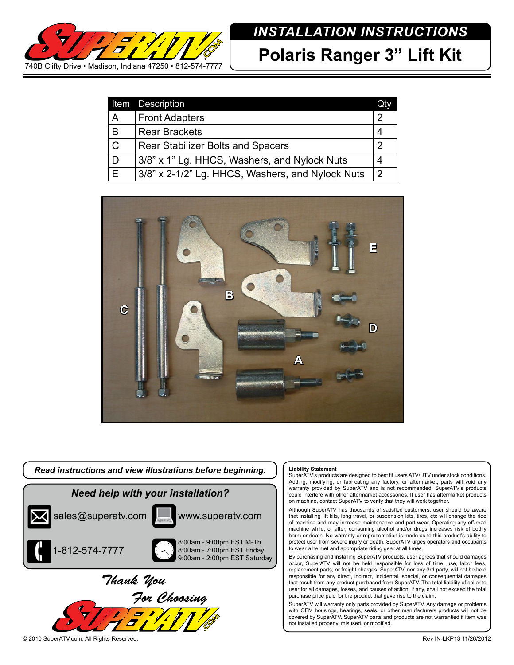

## *INSTALLATION INSTRUCTIONS*

**Polaris Ranger 3" Lift Kit**

|                | Item Description                                 | <b>Oty</b>     |
|----------------|--------------------------------------------------|----------------|
| ΙA             | <b>Front Adapters</b>                            | າ              |
| İВ             | <b>Rear Brackets</b>                             |                |
| $\mathsf{C}$   | Rear Stabilizer Bolts and Spacers                | າ              |
| l D            | 3/8" x 1" Lg. HHCS, Washers, and Nylock Nuts     | 4              |
| $\overline{E}$ | 3/8" x 2-1/2" Lg. HHCS, Washers, and Nylock Nuts | $\overline{2}$ |





## **Liability Statement**

SuperATV's products are designed to best fit users ATV/UTV under stock conditions. Adding, modifying, or fabricating any factory, or aftermarket, parts will void any warranty provided by SuperATV and is not recommended. SuperATV's products could interfere with other aftermarket accessories. If user has aftermarket products on machine, contact SuperATV to verify that they will work together.

Although SuperATV has thousands of satisfied customers, user should be aware that installing lift kits, long travel, or suspension kits, tires, etc will change the ride of machine and may increase maintenance and part wear. Operating any off-road machine while, or after, consuming alcohol and/or drugs increases risk of bodily harm or death. No warranty or representation is made as to this product's ability to protect user from severe injury or death. SuperATV urges operators and occupants to wear a helmet and appropriate riding gear at all times.

By purchasing and installing SuperATV products, user agrees that should damages occur, SuperATV will not be held responsible for loss of time, use, labor fees, replacement parts, or freight charges. SuperATV, nor any 3rd party, will not be held responsible for any direct, indirect, incidental, special, or consequential damages that result from any product purchased from SuperATV. The total liability of seller to user for all damages, losses, and causes of action, if any, shall not exceed the total purchase price paid for the product that gave rise to the claim.

SuperATV will warranty only parts provided by SuperATV. Any damage or problems with OEM housings, bearings, seals, or other manufacturers products will not be covered by SuperATV. SuperATV parts and products are not warrantied if item was not installed properly, misused, or modified.